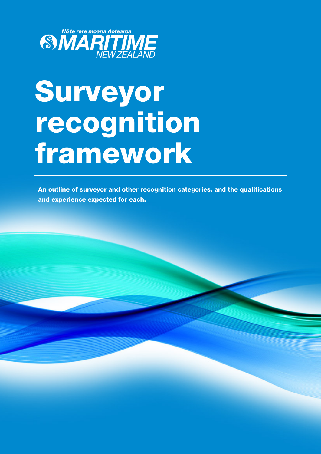

# Surveyor recognition framework

An outline of surveyor and other recognition categories, and the qualifications and experience expected for each.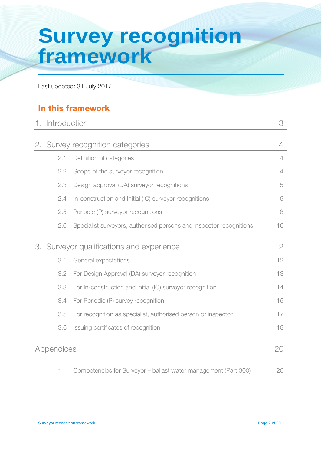## **Survey recognition framework**

Last updated: 31 July 2017

#### In this framework

|          |                                                                     | 3                                                                                                     |
|----------|---------------------------------------------------------------------|-------------------------------------------------------------------------------------------------------|
|          |                                                                     | 4                                                                                                     |
| 2.1      | Definition of categories                                            | $\overline{4}$                                                                                        |
| 2.2      | Scope of the surveyor recognition                                   | $\overline{4}$                                                                                        |
| 2.3      | Design approval (DA) surveyor recognitions                          | 5                                                                                                     |
| 2.4      | In-construction and Initial (IC) surveyor recognitions              | 6                                                                                                     |
| 2.5      | Periodic (P) surveyor recognitions                                  | 8                                                                                                     |
| 2.6      | Specialist surveyors, authorised persons and inspector recognitions | 10                                                                                                    |
|          |                                                                     | 12                                                                                                    |
| 3.1      | General expectations                                                | 12                                                                                                    |
| 3.2      | For Design Approval (DA) surveyor recognition                       | 13                                                                                                    |
| 3.3      | For In-construction and Initial (IC) surveyor recognition           | 14                                                                                                    |
| 3.4      | For Periodic (P) survey recognition                                 | 15                                                                                                    |
| 3.5      | For recognition as specialist, authorised person or inspector       | 17                                                                                                    |
| 3.6      | Issuing certificates of recognition                                 | 18                                                                                                    |
|          |                                                                     | 20                                                                                                    |
| 2.<br>З. |                                                                     | Introduction<br>Survey recognition categories<br>Surveyor qualifications and experience<br>Appendices |

1 Competencies for Surveyor – ballast water management (Part 300) 20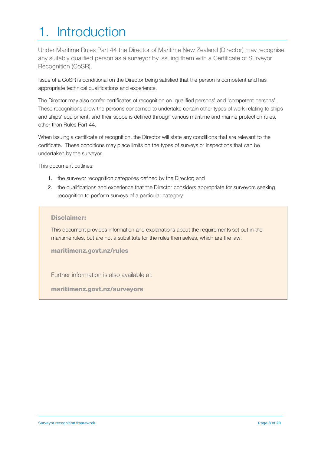### 1. Introduction

Under Maritime Rules Part 44 the Director of Maritime New Zealand (Director) may recognise any suitably qualified person as a surveyor by issuing them with a Certificate of Surveyor Recognition (CoSR).

Issue of a CoSR is conditional on the Director being satisfied that the person is competent and has appropriate technical qualifications and experience.

The Director may also confer certificates of recognition on 'qualified persons' and 'competent persons'. These recognitions allow the persons concerned to undertake certain other types of work relating to ships and ships' equipment, and their scope is defined through various maritime and marine protection rules, other than Rules Part 44.

When issuing a certificate of recognition, the Director will state any conditions that are relevant to the certificate. These conditions may place limits on the types of surveys or inspections that can be undertaken by the surveyor.

This document outlines:

- 1. the surveyor recognition categories defined by the Director; and
- 2. the qualifications and experience that the Director considers appropriate for surveyors seeking recognition to perform surveys of a particular category.

#### Disclaimer:

This document provides information and explanations about the requirements set out in the maritime rules, but are not a substitute for the rules themselves, which are the law.

maritimenz.govt.nz/rules

Further information is also available at:

<span id="page-2-0"></span>maritimenz.govt.nz/surveyors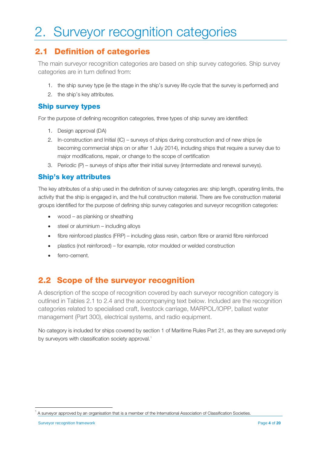## 2. Surveyor recognition categories

#### 2.1 Definition of categories

The main surveyor recognition categories are based on ship survey categories. Ship survey categories are in turn defined from:

- 1. the ship survey type (ie the stage in the ship's survey life cycle that the survey is performed) and
- 2. the ship's key attributes.

#### Ship survey types

For the purpose of defining recognition categories, three types of ship survey are identified:

- 1. Design approval (DA)
- 2. In-construction and Initial (IC) surveys of ships during construction and of new ships (ie becoming commercial ships on or after 1 July 2014), including ships that require a survey due to major modifications, repair, or change to the scope of certification
- 3. Periodic (P) surveys of ships after their initial survey (intermediate and renewal surveys).

#### Ship's key attributes

The key attributes of a ship used in the definition of survey categories are: ship length, operating limits, the activity that the ship is engaged in, and the hull construction material. There are five construction material groups identified for the purpose of defining ship survey categories and surveyor recognition categories:

- wood as planking or sheathing
- steel or aluminium including alloys
- fibre reinforced plastics (FRP) including glass resin, carbon fibre or aramid fibre reinforced
- plastics (not reinforced) for example, rotor moulded or welded construction
- ferro-cement.

#### 2.2 Scope of the surveyor recognition

A description of the scope of recognition covered by each surveyor recognition category is outlined in Tables 2.1 to 2.4 and the accompanying text below. Included are the recognition categories related to specialised craft, livestock carriage, MARPOL/IOPP, ballast water management (Part 300), electrical systems, and radio equipment.

No category is included for ships covered by section 1 of Maritime Rules Part 21, as they are surveyed only by surveyors with classification society approval.<sup>[1](#page-2-0)</sup>

<span id="page-3-0"></span><sup>1</sup> A surveyor approved by an organisation that is a member of the International Association of Classification Societies.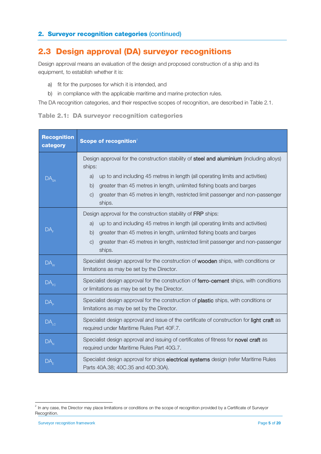#### 2.3 Design approval (DA) surveyor recognitions

Design approval means an evaluation of the design and proposed construction of a ship and its equipment, to establish whether it is:

- a) fit for the purposes for which it is intended, and
- b) in compliance with the applicable maritime and marine protection rules.

The DA recognition categories, and their respective scopes of recognition, are described in Table 2.1.

|  |  | Table 2.1: DA surveyor recognition categories |  |
|--|--|-----------------------------------------------|--|
|  |  |                                               |  |

| <b>Recognition</b><br>category | Scope of recognition <sup>2</sup>                                                                                                       |  |  |
|--------------------------------|-----------------------------------------------------------------------------------------------------------------------------------------|--|--|
|                                | Design approval for the construction stability of steel and aluminium (including alloys)<br>ships:                                      |  |  |
| DA                             | up to and including 45 metres in length (all operating limits and activities)<br>a)                                                     |  |  |
|                                | greater than 45 metres in length, unlimited fishing boats and barges<br>$\mathsf{b}$                                                    |  |  |
|                                | greater than 45 metres in length, restricted limit passenger and non-passenger<br>C)<br>ships.                                          |  |  |
|                                | Design approval for the construction stability of FRP ships:                                                                            |  |  |
|                                | up to and including 45 metres in length (all operating limits and activities)<br>a)                                                     |  |  |
| DА                             | greater than 45 metres in length, unlimited fishing boats and barges<br>$\mathsf{b}$                                                    |  |  |
|                                | greater than 45 metres in length, restricted limit passenger and non-passenger<br>C)<br>ships.                                          |  |  |
| $DA_{W}$                       | Specialist design approval for the construction of wooden ships, with conditions or<br>limitations as may be set by the Director.       |  |  |
| $DA$ <sub>FC</sub>             | Specialist design approval for the construction of ferro-cement ships, with conditions<br>or limitations as may be set by the Director. |  |  |
| DA <sub>p</sub>                | Specialist design approval for the construction of plastic ships, with conditions or<br>limitations as may be set by the Director.      |  |  |
| DA <sub>LC</sub>               | Specialist design approval and issue of the certificate of construction for light craft as<br>required under Maritime Rules Part 40F.7. |  |  |
| $DA_{N}$                       | Specialist design approval and issuing of certificates of fitness for novel craft as<br>required under Maritime Rules Part 40G.7.       |  |  |
| DA <sub>F</sub>                | Specialist design approval for ships electrical systems design (refer Maritime Rules<br>Parts 40A.38; 40C.35 and 40D.30A).              |  |  |

<span id="page-4-0"></span>2 In any case, the Director may place limitations or conditions on the scope of recognition provided by a Certificate of Surveyor Recognition.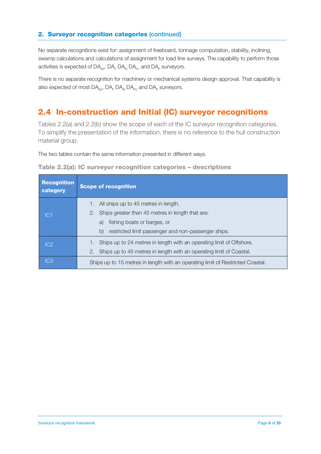No separate recognitions exist for: assignment of freeboard, tonnage computation, stability, inclining, swamp calculations and calculations of assignment for load line surveys. The capability to perform those activities is expected of DA $_{\rm SA}$ , DA $_{\rm E}$ , DA $_{\rm w}$ , DA $_{\rm EC}$  and DA $_{\rm P}$  surveyors.

There is no separate recognition for machinery or mechanical systems design approval. That capability is also expected of most  $DA_{s_0}$ ,  $DA_{F}DA_{w}DA_{F}$  and  $DA_{p}$  surveyors.

#### 2.4 In-construction and Initial (IC) surveyor recognitions

Tables 2.2(a) and 2.2(b) show the scope of each of the IC surveyor recognition categories. To simplify the presentation of the information, there is no reference to the hull construction material group.

The two tables contain the same information presented in different ways.

| Table 2.2(a): IC surveyor recognition categories - descriptions |  |  |
|-----------------------------------------------------------------|--|--|
|-----------------------------------------------------------------|--|--|

| <b>Recognition</b><br>category | <b>Scope of recognition</b>                                                    |
|--------------------------------|--------------------------------------------------------------------------------|
|                                | All ships up to 45 metres in length.<br>1.                                     |
| IC1                            | Ships greater than 45 metres in length that are:<br>2.                         |
|                                | fishing boats or barges, or<br>a)                                              |
|                                | restricted limit passenger and non-passenger ships.<br>$\mathsf{b}$            |
| IC2                            | Ships up to 24 metres in length with an operating limit of Offshore.           |
|                                | Ships up to 45 metres in length with an operating limit of Coastal.<br>2.      |
| IC <sub>3</sub>                | Ships up to 15 metres in length with an operating limit of Restricted Coastal. |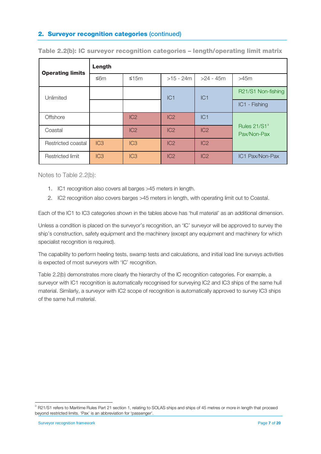| <b>Operating limits</b> | Length |                 |                 |                 |                                         |  |
|-------------------------|--------|-----------------|-----------------|-----------------|-----------------------------------------|--|
|                         | ≤6m    | $≤15m$          | $>15 - 24m$     | $>24 - 45m$     | $>45m$                                  |  |
| Unlimited               |        |                 | IC <sub>1</sub> | IC1             | R21/S1 Non-fishing                      |  |
|                         |        |                 |                 |                 | IC1 - Fishing                           |  |
| Offshore                |        | IC2             | IC2             | IC1             |                                         |  |
| Coastal                 |        | IC <sub>2</sub> | IC <sub>2</sub> | IC <sub>2</sub> | Rules 21/S1 <sup>3</sup><br>Pax/Non-Pax |  |
| Restricted coastal      | IC3    | IC3             | IC2             | IC2             |                                         |  |
| Restricted limit        | IC3    | IC3             | IC2             | IC <sub>2</sub> | IC1 Pax/Non-Pax                         |  |

Table 2.2(b): IC surveyor recognition categories – length/operating limit matrix

Notes to Table 2.2(b):

- 1. IC1 recognition also covers all barges >45 meters in length.
- 2. IC2 recognition also covers barges >45 meters in length, with operating limit out to Coastal.

Each of the IC1 to IC3 categories shown in the tables above has 'hull material' as an additional dimension.

Unless a condition is placed on the surveyor's recognition, an 'IC' surveyor will be approved to survey the ship's construction, safety equipment and the machinery (except any equipment and machinery for which specialist recognition is required).

The capability to perform heeling tests, swamp tests and calculations, and initial load line surveys activities is expected of most surveyors with 'IC' recognition.

Table 2.2(b) demonstrates more clearly the hierarchy of the IC recognition categories. For example, a surveyor with IC1 recognition is automatically recognised for surveying IC2 and IC3 ships of the same hull material. Similarly, a surveyor with IC2 scope of recognition is automatically approved to survey IC3 ships of the same hull material.

j

<span id="page-6-0"></span><sup>&</sup>lt;sup>3</sup> R21/S1 refers to Maritime Rules Part 21 section 1, relating to SOLAS ships and ships of 45 metres or more in length that proceed beyond restricted limits. 'Pax' is an abbreviation for 'passenger'.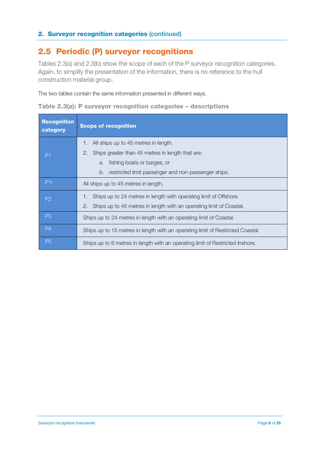#### 2.5 Periodic (P) surveyor recognitions

Tables 2.3(a) and 2.3(b) show the scope of each of the P surveyor recognition categories. Again, to simplify the presentation of the information, there is no reference to the hull construction material group.

The two tables contain the same information presented in different ways.

|  |  |  |  |  | Table 2.3(a): P surveyor recognition categories - descriptions |
|--|--|--|--|--|----------------------------------------------------------------|
|--|--|--|--|--|----------------------------------------------------------------|

| Recognition<br>category | <b>Scope of recognition</b>                                                    |  |  |  |  |
|-------------------------|--------------------------------------------------------------------------------|--|--|--|--|
|                         | All ships up to 45 metres in length.<br>1.                                     |  |  |  |  |
| P <sub>1</sub>          | Ships greater than 45 metres in length that are:<br>2.                         |  |  |  |  |
|                         | fishing boats or barges, or<br>a.                                              |  |  |  |  |
|                         | restricted limit passenger and non-passenger ships.<br>b.                      |  |  |  |  |
| P <sub>1r</sub>         | All ships up to 45 metres in length.                                           |  |  |  |  |
| P <sub>2</sub>          | Ships up to 24 metres in length with operating limit of Offshore               |  |  |  |  |
|                         | Ships up to 45 metres in length with an operating limit of Coastal.<br>2.      |  |  |  |  |
| P <sub>3</sub>          | Ships up to 24 metres in length with an operating limit of Coastal.            |  |  |  |  |
| P <sub>4</sub>          | Ships up to 15 metres in length with an operating limit of Restricted Coastal. |  |  |  |  |
| P <sub>5</sub>          | Ships up to 6 metres in length with an operating limit of Restricted Inshore.  |  |  |  |  |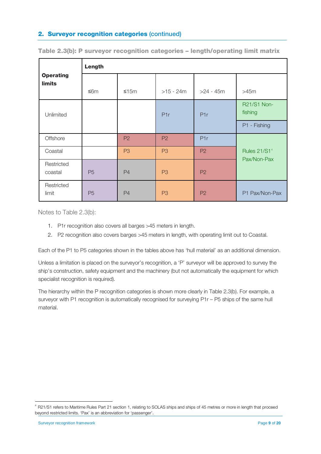|                                   | Length    |                  |                |                  |                                         |  |
|-----------------------------------|-----------|------------------|----------------|------------------|-----------------------------------------|--|
| <b>Operating</b><br><b>limits</b> | ≤6m       | $≤15m$           | $>15 - 24m$    | $>24 - 45m$      | $>45m$                                  |  |
| Unlimited                         |           | P <sub>1</sub> r |                | P <sub>1</sub> r | R21/S1 Non-<br>fishing                  |  |
|                                   |           |                  |                |                  | P1 - Fishing                            |  |
| Offshore                          |           | P <sub>2</sub>   | P <sub>2</sub> | P <sub>1</sub> r |                                         |  |
| Coastal                           |           | P <sub>3</sub>   | P <sub>3</sub> | <b>P2</b>        | Rules 21/S1 <sup>4</sup><br>Pax/Non-Pax |  |
| Restricted<br>coastal             | <b>P5</b> | P <sub>4</sub>   | P <sub>3</sub> | <b>P2</b>        |                                         |  |
| Restricted<br>limit               | <b>P5</b> | <b>P4</b>        | P <sub>3</sub> | P <sub>2</sub>   | P1 Pax/Non-Pax                          |  |

Table 2.3(b): P surveyor recognition categories – length/operating limit matrix

Notes to Table 2.3(b):

- 1. P1r recognition also covers all barges >45 meters in length.
- 2. P2 recognition also covers barges >45 meters in length, with operating limit out to Coastal.

Each of the P1 to P5 categories shown in the tables above has 'hull material' as an additional dimension.

Unless a limitation is placed on the surveyor's recognition, a 'P' surveyor will be approved to survey the ship's construction, safety equipment and the machinery (but not automatically the equipment for which specialist recognition is required).

The hierarchy within the P recognition categories is shown more clearly in Table 2.3(b). For example, a surveyor with P1 recognition is automatically recognised for surveying P1r - P5 ships of the same hull material.

<span id="page-8-0"></span><sup>&</sup>lt;sup>4</sup> R21/S1 refers to Maritime Rules Part 21 section 1, relating to SOLAS ships and ships of 45 metres or more in length that proceed beyond restricted limits. 'Pax' is an abbreviation for 'passenger'.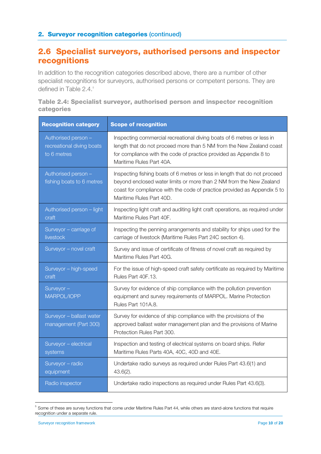#### 2.6 Specialist surveyors, authorised persons and inspector recognitions

In addition to the recognition categories described above, there are a number of other specialist recognitions for surveyors, authorised persons or competent persons. They are defined in Table 2.4.<sup>[5](#page-8-0)</sup>

| Table 2.4: Specialist surveyor, authorised person and inspector recognition |  |  |  |
|-----------------------------------------------------------------------------|--|--|--|
| categories                                                                  |  |  |  |

| <b>Recognition category</b>                                     | <b>Scope of recognition</b>                                                                                                                                                                                                                               |
|-----------------------------------------------------------------|-----------------------------------------------------------------------------------------------------------------------------------------------------------------------------------------------------------------------------------------------------------|
| Authorised person -<br>recreational diving boats<br>to 6 metres | Inspecting commercial recreational diving boats of 6 metres or less in<br>length that do not proceed more than 5 NM from the New Zealand coast<br>for compliance with the code of practice provided as Appendix 8 to<br>Maritime Rules Part 40A.          |
| Authorised person -<br>fishing boats to 6 metres                | Inspecting fishing boats of 6 metres or less in length that do not proceed<br>beyond enclosed water limits or more than 2 NM from the New Zealand<br>coast for compliance with the code of practice provided as Appendix 5 to<br>Maritime Rules Part 40D. |
| Authorised person - light<br>craft                              | Inspecting light craft and auditing light craft operations, as required under<br>Maritime Rules Part 40F.                                                                                                                                                 |
| Surveyor - carriage of<br>livestock                             | Inspecting the penning arrangements and stability for ships used for the<br>carriage of livestock (Maritime Rules Part 24C section 4).                                                                                                                    |
| Surveyor - novel craft                                          | Survey and issue of certificate of fitness of novel craft as required by<br>Maritime Rules Part 40G.                                                                                                                                                      |
| Surveyor - high-speed<br>craft                                  | For the issue of high-speed craft safety certificate as required by Maritime<br>Rules Part 40F.13.                                                                                                                                                        |
| Surveyor -<br>MARPOL/IOPP                                       | Survey for evidence of ship compliance with the pollution prevention<br>equipment and survey requirements of MARPOL. Marine Protection<br>Rules Part 101A.8.                                                                                              |
| Surveyor - ballast water<br>management (Part 300)               | Survey for evidence of ship compliance with the provisions of the<br>approved ballast water management plan and the provisions of Marine<br>Protection Rules Part 300.                                                                                    |
| Surveyor - electrical<br>systems                                | Inspection and testing of electrical systems on board ships. Refer<br>Maritime Rules Parts 40A, 40C, 40D and 40E.                                                                                                                                         |
| Surveyor - radio<br>equipment                                   | Undertake radio surveys as required under Rules Part 43.6(1) and<br>$43.6(2)$ .                                                                                                                                                                           |
| Radio inspector                                                 | Undertake radio inspections as required under Rules Part 43.6(3).                                                                                                                                                                                         |

<span id="page-9-0"></span><sup>-&</sup>lt;br>5 Some of these are survey functions that come under Maritime Rules Part 44, while others are stand-alone functions that require recognition under a separate rule.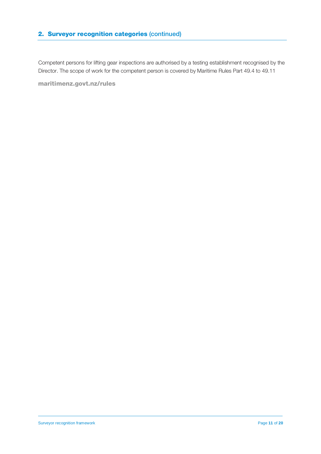Competent persons for lifting gear inspections are authorised by a testing establishment recognised by the Director. The scope of work for the competent person is covered by Maritime Rules Part 49.4 to 49.11

maritimenz.govt.nz/rules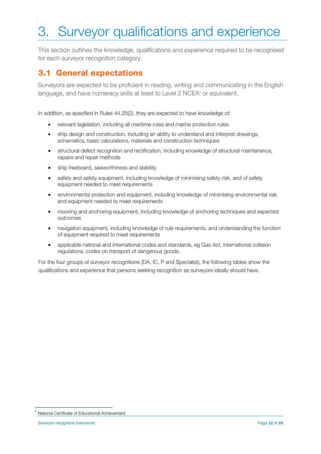## 3. Surveyor qualifications and experience

This section outlines the knowledge, qualifications and experience required to be recognised for each surveyor recognition category.

#### 3.1 General expectations

Surveyors are expected to be proficient in reading, writing and communicating in the English language, and have numeracy skills at least to Level 2 NCEA<sup>®</sup> or equivalent.

In addition, as specified in Rules 44.25(2), they are expected to have knowledge of:

- relevant legislation, including all maritime rules and marine protection rules
- ship design and construction, including an ability to understand and interpret drawings, schematics, basic calculations, materials and construction techniques
- structural defect recognition and rectification, including knowledge of structural maintenance, repairs and repair methods
- ship freeboard, seaworthiness and stability
- safety and safety equipment, including knowledge of minimising safety risk, and of safety equipment needed to meet requirements
- environmental protection and equipment, including knowledge of minimising environmental risk and equipment needed to meet requirements
- mooring and anchoring equipment, including knowledge of anchoring techniques and expected outcomes
- navigation equipment, including knowledge of rule requirements, and understanding the function of equipment required to meet requirements
- applicable national and international codes and standards, eg Gas Act, international collision regulations, codes on transport of dangerous goods.

For the four groups of surveyor recognitions (DA, IC, P and Specialist), the following tables show the qualifications and experience that persons seeking recognition as surveyors ideally should have.

<span id="page-11-0"></span><sup>6</sup> National Certificate of Educational Achievement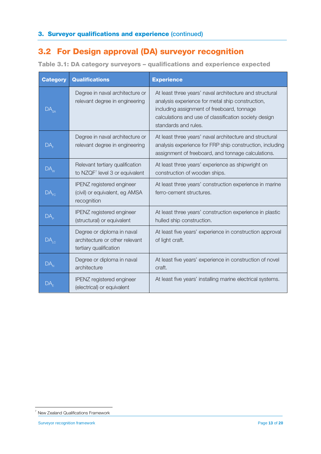#### 3.2 For Design approval (DA) surveyor recognition

Table 3.1: DA category surveyors – qualifications and experience expected

| <b>Category</b>                        | <b>Qualifications</b>                                                                  | <b>Experience</b>                                                                                                                                                                                                                          |
|----------------------------------------|----------------------------------------------------------------------------------------|--------------------------------------------------------------------------------------------------------------------------------------------------------------------------------------------------------------------------------------------|
| $\overline{\mathsf{DA}}_{\mathsf{SA}}$ | Degree in naval architecture or<br>relevant degree in engineering                      | At least three years' naval architecture and structural<br>analysis experience for metal ship construction,<br>including assignment of freeboard, tonnage<br>calculations and use of classification society design<br>standards and rules. |
| DA,                                    | Degree in naval architecture or<br>relevant degree in engineering                      | At least three years' naval architecture and structural<br>analysis experience for FRP ship construction, including<br>assignment of freeboard, and tonnage calculations.                                                                  |
| $DA_{w}$                               | Relevant tertiary qualification<br>to NZQF <sup>7</sup> level 3 or equivalent          | At least three years' experience as shipwright on<br>construction of wooden ships.                                                                                                                                                         |
| DA <sub>FC</sub>                       | IPENZ registered engineer<br>(civil) or equivalent, eg AMSA<br>recognition             | At least three years' construction experience in marine<br>ferro-cement structures.                                                                                                                                                        |
| DA <sub>b</sub>                        | <b>IPENZ</b> registered engineer<br>(structural) or equivalent                         | At least three years' construction experience in plastic<br>hulled ship construction.                                                                                                                                                      |
| $DA_{LC}$                              | Degree or diploma in naval<br>architecture or other relevant<br>tertiary qualification | At least five years' experience in construction approval<br>of light craft.                                                                                                                                                                |
| $DA_{N}$                               | Degree or diploma in naval<br>architecture                                             | At least five years' experience in construction of novel<br>craft.                                                                                                                                                                         |
|                                        | IPENZ registered engineer<br>(electrical) or equivalent                                | At least five years' installing marine electrical systems.                                                                                                                                                                                 |

<span id="page-12-0"></span><sup>-</sup><sup>7</sup> New Zealand Qualifications Framework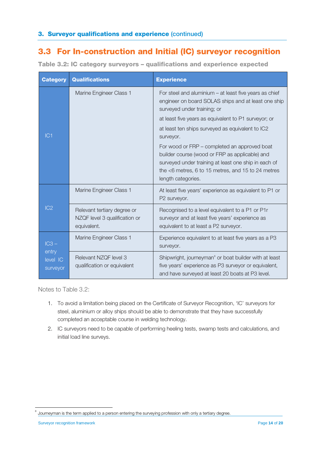#### 3.3 For In-construction and Initial (IC) surveyor recognition

| <b>Category</b>                          | <b>Qualifications</b>                                                       | <b>Experience</b>                                                                                                                                                                                                                                                                                                                                                                                                                                                                                             |
|------------------------------------------|-----------------------------------------------------------------------------|---------------------------------------------------------------------------------------------------------------------------------------------------------------------------------------------------------------------------------------------------------------------------------------------------------------------------------------------------------------------------------------------------------------------------------------------------------------------------------------------------------------|
| IC1                                      | Marine Engineer Class 1                                                     | For steel and aluminium $-$ at least five years as chief<br>engineer on board SOLAS ships and at least one ship<br>surveyed under training; or<br>at least five years as equivalent to P1 surveyor; or<br>at least ten ships surveyed as equivalent to IC2<br>surveyor.<br>For wood or FRP – completed an approved boat<br>builder course (wood or FRP as applicable) and<br>surveyed under training at least one ship in each of<br>the <6 metres, 6 to 15 metres, and 15 to 24 metres<br>length categories. |
| IC2                                      | Marine Engineer Class 1                                                     | At least five years' experience as equivalent to P1 or<br>P2 surveyor.                                                                                                                                                                                                                                                                                                                                                                                                                                        |
|                                          | Relevant tertiary degree or<br>NZQF level 3 qualification or<br>equivalent. | Recognised to a level equivalent to a P1 or P1r<br>surveyor and at least five years' experience as<br>equivalent to at least a P2 surveyor.                                                                                                                                                                                                                                                                                                                                                                   |
| $IC3 -$<br>entry<br>level IC<br>surveyor | Marine Engineer Class 1                                                     | Experience equivalent to at least five years as a P3<br>surveyor.                                                                                                                                                                                                                                                                                                                                                                                                                                             |
|                                          | Relevant NZQF level 3<br>qualification or equivalent                        | Shipwright, journeyman <sup>8</sup> or boat builder with at least<br>five years' experience as P3 surveyor or equivalent,<br>and have surveyed at least 20 boats at P3 level.                                                                                                                                                                                                                                                                                                                                 |

Table 3.2: IC category surveyors – qualifications and experience expected

Notes to Table 3.2:

- 1. To avoid a limitation being placed on the Certificate of Surveyor Recognition, 'IC' surveyors for steel, aluminium or alloy ships should be able to demonstrate that they have successfully completed an acceptable course in welding technology.
- 2. IC surveyors need to be capable of performing heeling tests, swamp tests and calculations, and initial load line surveys.

Journeyman is the term applied to a person entering the surveying profession with only a tertiary degree.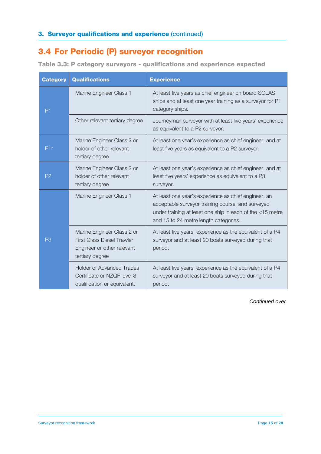#### 3.4 For Periodic (P) surveyor recognition

| <b>Category</b> | <b>Qualifications</b>                                                                                            | <b>Experience</b>                                                                                                                                                                                               |
|-----------------|------------------------------------------------------------------------------------------------------------------|-----------------------------------------------------------------------------------------------------------------------------------------------------------------------------------------------------------------|
| P <sub>1</sub>  | Marine Engineer Class 1                                                                                          | At least five years as chief engineer on board SOLAS<br>ships and at least one year training as a surveyor for P1<br>category ships.                                                                            |
|                 | Other relevant tertiary degree                                                                                   | Journeyman surveyor with at least five years' experience<br>as equivalent to a P2 surveyor.                                                                                                                     |
| P1r             | Marine Engineer Class 2 or<br>holder of other relevant<br>tertiary degree                                        | At least one year's experience as chief engineer, and at<br>least five years as equivalent to a P2 surveyor.                                                                                                    |
| P <sub>2</sub>  | Marine Engineer Class 2 or<br>holder of other relevant<br>tertiary degree                                        | At least one year's experience as chief engineer, and at<br>least five years' experience as equivalent to a P3<br>surveyor.                                                                                     |
| P3              | Marine Engineer Class 1                                                                                          | At least one year's experience as chief engineer, an<br>acceptable surveyor training course, and surveyed<br>under training at least one ship in each of the <15 metre<br>and 15 to 24 metre length categories. |
|                 | Marine Engineer Class 2 or<br><b>First Class Diesel Trawler</b><br>Engineer or other relevant<br>tertiary degree | At least five years' experience as the equivalent of a P4<br>surveyor and at least 20 boats surveyed during that<br>period.                                                                                     |
|                 | <b>Holder of Advanced Trades</b><br>Certificate or NZQF level 3<br>qualification or equivalent.                  | At least five years' experience as the equivalent of a P4<br>surveyor and at least 20 boats surveyed during that<br>period.                                                                                     |

*Continued over*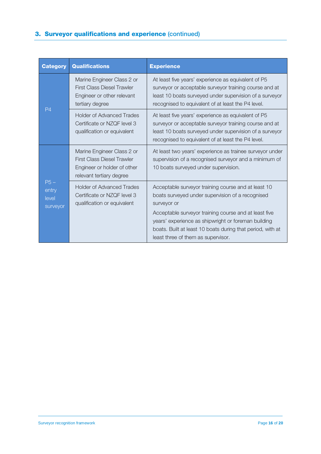#### 3. Surveyor qualifications and experience (continued)

| <b>Category</b>                     | <b>Qualifications</b>                                                                                                      | <b>Experience</b>                                                                                                                                                                                                                                                                                                                          |
|-------------------------------------|----------------------------------------------------------------------------------------------------------------------------|--------------------------------------------------------------------------------------------------------------------------------------------------------------------------------------------------------------------------------------------------------------------------------------------------------------------------------------------|
| P <sub>4</sub>                      | Marine Engineer Class 2 or<br><b>First Class Diesel Trawler</b><br>Engineer or other relevant<br>tertiary degree           | At least five years' experience as equivalent of P5<br>surveyor or acceptable surveyor training course and at<br>least 10 boats surveyed under supervision of a surveyor<br>recognised to equivalent of at least the P4 level.                                                                                                             |
|                                     | <b>Holder of Advanced Trades</b><br>Certificate or NZQF level 3<br>qualification or equivalent                             | At least five years' experience as equivalent of P5<br>surveyor or acceptable surveyor training course and at<br>least 10 boats surveyed under supervision of a surveyor<br>recognised to equivalent of at least the P4 level.                                                                                                             |
| $P5-$<br>entry<br>level<br>surveyor | Marine Engineer Class 2 or<br><b>First Class Diesel Trawler</b><br>Engineer or holder of other<br>relevant tertiary degree | At least two years' experience as trainee surveyor under<br>supervision of a recognised surveyor and a minimum of<br>10 boats surveyed under supervision.                                                                                                                                                                                  |
|                                     | <b>Holder of Advanced Trades</b><br>Certificate or NZQF level 3<br>qualification or equivalent                             | Acceptable surveyor training course and at least 10<br>boats surveyed under supervision of a recognised<br>surveyor or<br>Acceptable surveyor training course and at least five<br>years' experience as shipwright or foreman building<br>boats. Built at least 10 boats during that period, with at<br>least three of them as supervisor. |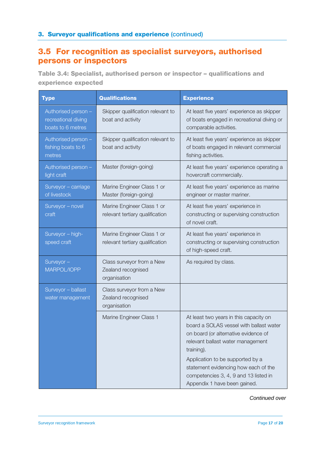#### 3.5 For recognition as specialist surveyors, authorised persons or inspectors

Table 3.4: Specialist, authorised person or inspector – qualifications and experience expected

| <b>Type</b>                                                     | <b>Qualifications</b>                                           | <b>Experience</b>                                                                                                                                                                                                                                                                                                                 |
|-----------------------------------------------------------------|-----------------------------------------------------------------|-----------------------------------------------------------------------------------------------------------------------------------------------------------------------------------------------------------------------------------------------------------------------------------------------------------------------------------|
| Authorised person -<br>recreational diving<br>boats to 6 metres | Skipper qualification relevant to<br>boat and activity          | At least five years' experience as skipper<br>of boats engaged in recreational diving or<br>comparable activities.                                                                                                                                                                                                                |
| Authorised person -<br>fishing boats to 6<br>metres             | Skipper qualification relevant to<br>boat and activity          | At least five years' experience as skipper<br>of boats engaged in relevant commercial<br>fishing activities.                                                                                                                                                                                                                      |
| Authorised person -<br>light craft                              | Master (foreign-going)                                          | At least five years' experience operating a<br>hovercraft commercially.                                                                                                                                                                                                                                                           |
| Surveyor - carriage<br>of livestock                             | Marine Engineer Class 1 or<br>Master (foreign-going)            | At least five years' experience as marine<br>engineer or master mariner.                                                                                                                                                                                                                                                          |
| Surveyor - novel<br>craft                                       | Marine Engineer Class 1 or<br>relevant tertiary qualification   | At least five years' experience in<br>constructing or supervising construction<br>of novel craft.                                                                                                                                                                                                                                 |
| Surveyor - high-<br>speed craft                                 | Marine Engineer Class 1 or<br>relevant tertiary qualification   | At least five years' experience in<br>constructing or supervising construction<br>of high-speed craft.                                                                                                                                                                                                                            |
| Surveyor-<br>MARPOL/IOPP                                        | Class surveyor from a New<br>Zealand recognised<br>organisation | As required by class.                                                                                                                                                                                                                                                                                                             |
| Surveyor - ballast<br>water management                          | Class surveyor from a New<br>Zealand recognised<br>organisation |                                                                                                                                                                                                                                                                                                                                   |
|                                                                 | Marine Engineer Class 1                                         | At least two years in this capacity on<br>board a SOLAS vessel with ballast water<br>on board (or alternative evidence of<br>relevant ballast water management<br>training).<br>Application to be supported by a<br>statement evidencing how each of the<br>competencies 3, 4, 9 and 13 listed in<br>Appendix 1 have been gained. |

*Continued over*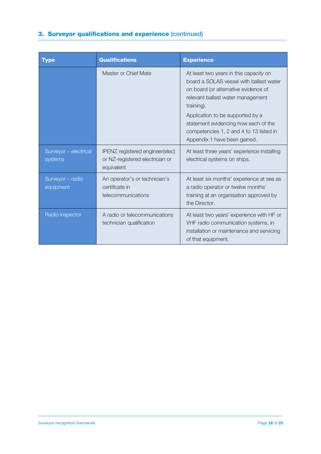#### 3. Surveyor qualifications and experience (continued)

| <b>Type</b>                      | <b>Qualifications</b>                                                            | <b>Experience</b>                                                                                                                                                                                                                                                                                                                   |
|----------------------------------|----------------------------------------------------------------------------------|-------------------------------------------------------------------------------------------------------------------------------------------------------------------------------------------------------------------------------------------------------------------------------------------------------------------------------------|
|                                  | Master or Chief Mate                                                             | At least two years in this capacity on<br>board a SOLAS vessel with ballast water<br>on board (or alternative evidence of<br>relevant ballast water management<br>training).<br>Application to be supported by a<br>statement evidencing how each of the<br>competencies 1, 2 and 4 to 13 listed in<br>Appendix 1 have been gained. |
| Surveyor - electrical<br>systems | IPENZ registered engineer(elec)<br>or NZ-registered electrician or<br>equivalent | At least three years' experience installing<br>electrical systems on ships.                                                                                                                                                                                                                                                         |
| Surveyor - radio<br>equipment    | An operator's or technician's<br>certificate in<br>telecommunications            | At least six months' experience at sea as<br>a radio operator or twelve months'<br>training at an organisation approved by<br>the Director.                                                                                                                                                                                         |
| Radio inspector                  | A radio or telecommunications<br>technician qualification                        | At least two years' experience with HF or<br>VHF radio communication systems, in<br>installation or maintenance and servicing<br>of that equipment.                                                                                                                                                                                 |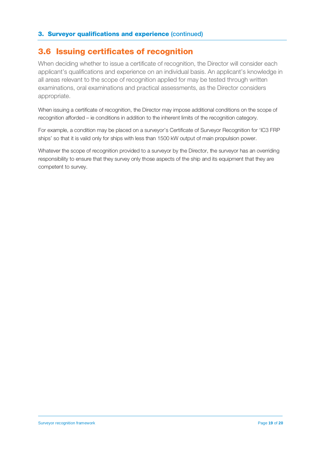#### 3.6 Issuing certificates of recognition

When deciding whether to issue a certificate of recognition, the Director will consider each applicant's qualifications and experience on an individual basis. An applicant's knowledge in all areas relevant to the scope of recognition applied for may be tested through written examinations, oral examinations and practical assessments, as the Director considers appropriate.

When issuing a certificate of recognition, the Director may impose additional conditions on the scope of recognition afforded – ie conditions in addition to the inherent limits of the recognition category.

For example, a condition may be placed on a surveyor's Certificate of Surveyor Recognition for 'IC3 FRP ships' so that it is valid only for ships with less than 1500 kW output of main propulsion power.

Whatever the scope of recognition provided to a surveyor by the Director, the surveyor has an overriding responsibility to ensure that they survey only those aspects of the ship and its equipment that they are competent to survey.